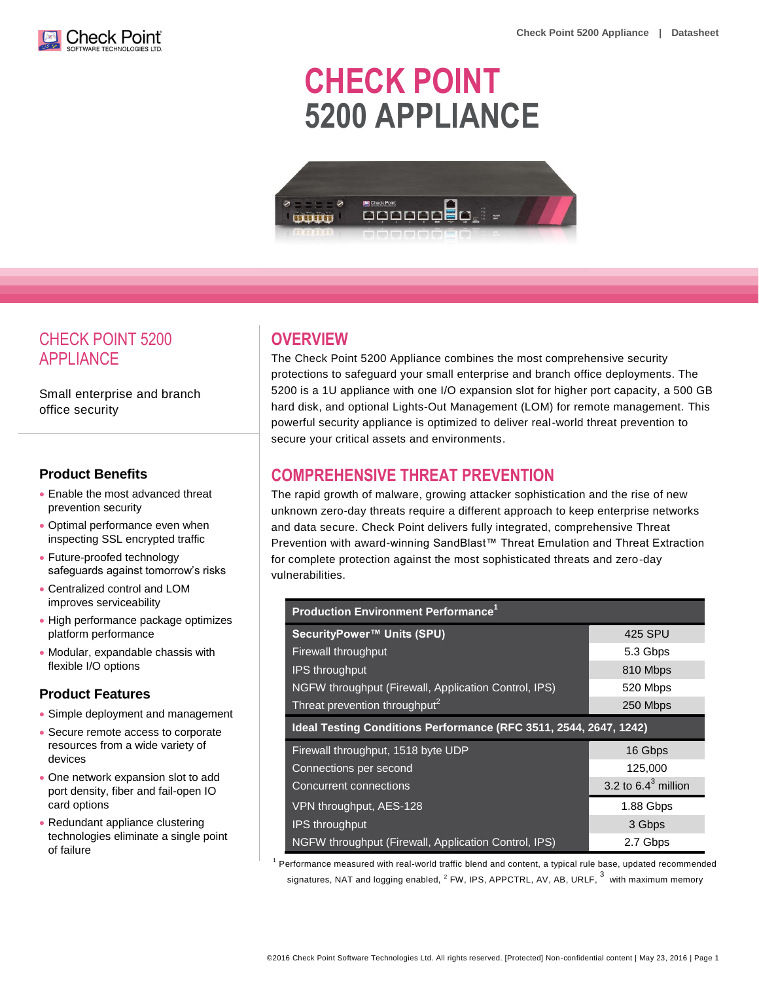

# **CHECK POINT 5200 APPLIANCE**



# CHECK POINT 5200 APPLIANCE

Small enterprise and branch office security

### **Product Benefits**

- Enable the most advanced threat prevention security
- Optimal performance even when inspecting SSL encrypted traffic
- Future-proofed technology safeguards against tomorrow's risks
- Centralized control and LOM improves serviceability
- High performance package optimizes platform performance
- Modular, expandable chassis with flexible I/O options

#### **Product Features**

- Simple deployment and management
- Secure remote access to corporate resources from a wide variety of devices
- One network expansion slot to add port density, fiber and fail-open IO card options
- Redundant appliance clustering technologies eliminate a single point of failure

# **OVERVIEW**

The Check Point 5200 Appliance combines the most comprehensive security protections to safeguard your small enterprise and branch office deployments. The 5200 is a 1U appliance with one I/O expansion slot for higher port capacity, a 500 GB hard disk, and optional Lights-Out Management (LOM) for remote management. This powerful security appliance is optimized to deliver real-world threat prevention to secure your critical assets and environments.

# **COMPREHENSIVE THREAT PREVENTION**

The rapid growth of malware, growing attacker sophistication and the rise of new unknown zero-day threats require a different approach to keep enterprise networks and data secure. Check Point delivers fully integrated, comprehensive Threat Prevention with award-winning SandBlast™ Threat Emulation and Threat Extraction for complete protection against the most sophisticated threats and zero-day vulnerabilities.

| <b>Production Environment Performance<sup>1</sup></b>             |                       |  |
|-------------------------------------------------------------------|-----------------------|--|
| SecurityPower™ Units (SPU)                                        | 425 SPU               |  |
| Firewall throughput                                               | 5.3 Gbps              |  |
| <b>IPS throughput</b>                                             | 810 Mbps              |  |
| NGFW throughput (Firewall, Application Control, IPS)              | 520 Mbps              |  |
| Threat prevention throughput <sup>2</sup>                         | 250 Mbps              |  |
| Ideal Testing Conditions Performance (RFC 3511, 2544, 2647, 1242) |                       |  |
| Firewall throughput, 1518 byte UDP                                | 16 Gbps               |  |
| Connections per second                                            | 125,000               |  |
| <b>Concurrent connections</b>                                     | 3.2 to $6.43$ million |  |
| VPN throughput, AES-128                                           | 1.88 Gbps             |  |
| <b>IPS throughput</b>                                             | 3 Gbps                |  |
| NGFW throughput (Firewall, Application Control, IPS)              | 2.7 Gbps              |  |

 $1$  Performance measured with real-world traffic blend and content, a typical rule base, updated recommended signatures, NAT and logging enabled,  $^2$  FW, IPS, APPCTRL, AV, AB, URLF,  $^3\,$  with maximum memory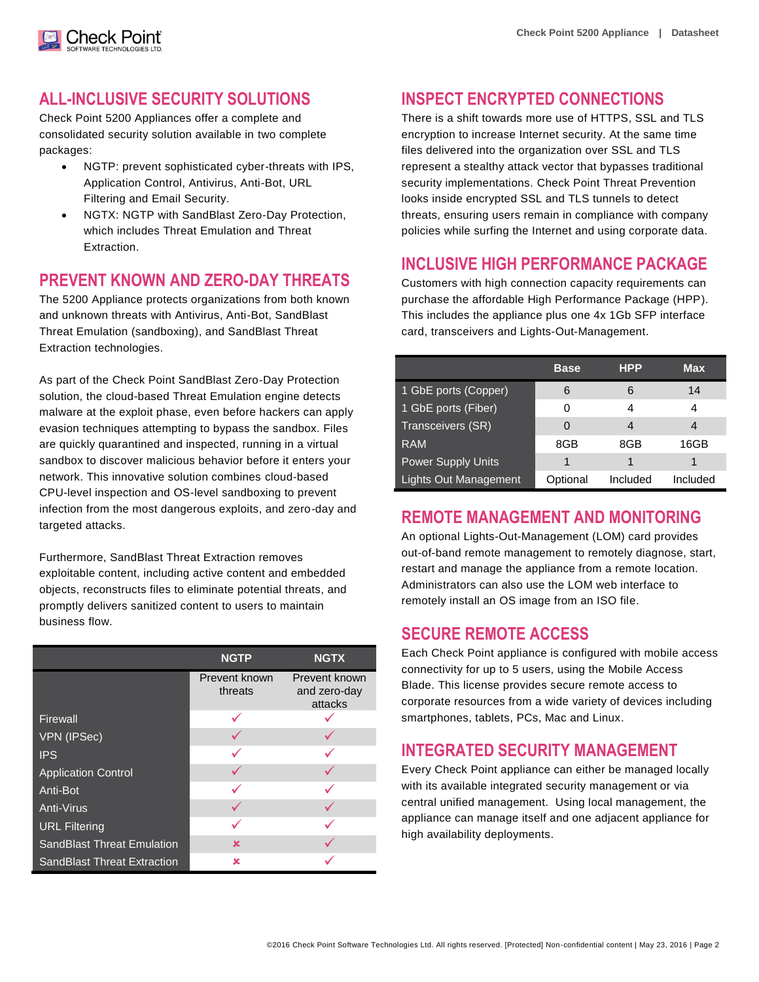# **ALL-INCLUSIVE SECURITY SOLUTIONS**

Check Poinť

Check Point 5200 Appliances offer a complete and consolidated security solution available in two complete packages:

- NGTP: prevent sophisticated cyber-threats with IPS, Application Control, Antivirus, Anti-Bot, URL Filtering and Email Security.
- NGTX: NGTP with SandBlast Zero-Day Protection, which includes Threat Emulation and Threat Extraction.

# **PREVENT KNOWN AND ZERO-DAY THREATS**

The 5200 Appliance protects organizations from both known and unknown threats with Antivirus, Anti-Bot, SandBlast Threat Emulation (sandboxing), and SandBlast Threat Extraction technologies.

As part of the Check Point SandBlast Zero-Day Protection solution, the cloud-based Threat Emulation engine detects malware at the exploit phase, even before hackers can apply evasion techniques attempting to bypass the sandbox. Files are quickly quarantined and inspected, running in a virtual sandbox to discover malicious behavior before it enters your network. This innovative solution combines cloud-based CPU-level inspection and OS-level sandboxing to prevent infection from the most dangerous exploits, and zero-day and targeted attacks.

Furthermore, SandBlast Threat Extraction removes exploitable content, including active content and embedded objects, reconstructs files to eliminate potential threats, and promptly delivers sanitized content to users to maintain business flow.

|                                    | <b>NGTP</b>              | <b>NGTX</b>                              |
|------------------------------------|--------------------------|------------------------------------------|
|                                    | Prevent known<br>threats | Prevent known<br>and zero-day<br>attacks |
| Firewall                           |                          |                                          |
| VPN (IPSec)                        |                          |                                          |
| <b>IPS</b>                         |                          |                                          |
| <b>Application Control</b>         |                          |                                          |
| Anti-Bot                           |                          |                                          |
| Anti-Virus                         |                          |                                          |
| <b>URL Filtering</b>               |                          |                                          |
| <b>SandBlast Threat Emulation</b>  | ×                        |                                          |
| <b>SandBlast Threat Extraction</b> | ×                        |                                          |

# **INSPECT ENCRYPTED CONNECTIONS**

There is a shift towards more use of HTTPS, SSL and TLS encryption to increase Internet security. At the same time files delivered into the organization over SSL and TLS represent a stealthy attack vector that bypasses traditional security implementations. Check Point Threat Prevention looks inside encrypted SSL and TLS tunnels to detect threats, ensuring users remain in compliance with company policies while surfing the Internet and using corporate data.

# **INCLUSIVE HIGH PERFORMANCE PACKAGE**

Customers with high connection capacity requirements can purchase the affordable High Performance Package (HPP). This includes the appliance plus one 4x 1Gb SFP interface card, transceivers and Lights-Out-Management.

|                              | <b>Base</b> | <b>HPP</b> | Max      |
|------------------------------|-------------|------------|----------|
| 1 GbE ports (Copper)         | 6           | 6          | 14       |
| 1 GbE ports (Fiber)          | 0           | 4          | 4        |
| Transceivers (SR)            | 0           | 4          | 4        |
| RAM                          | 8GB         | 8GB        | 16GB     |
| <b>Power Supply Units</b>    | 1           |            |          |
| <b>Lights Out Management</b> | Optional    | Included   | Included |

# **REMOTE MANAGEMENT AND MONITORING**

An optional Lights-Out-Management (LOM) card provides out-of-band remote management to remotely diagnose, start, restart and manage the appliance from a remote location. Administrators can also use the LOM web interface to remotely install an OS image from an ISO file.

# **SECURE REMOTE ACCESS**

Each Check Point appliance is configured with mobile access connectivity for up to 5 users, using the Mobile Access Blade. This license provides secure remote access to corporate resources from a wide variety of devices including smartphones, tablets, PCs, Mac and Linux.

# **INTEGRATED SECURITY MANAGEMENT**

Every Check Point appliance can either be managed locally with its available integrated security management or via central unified management. Using local management, the appliance can manage itself and one adjacent appliance for high availability deployments.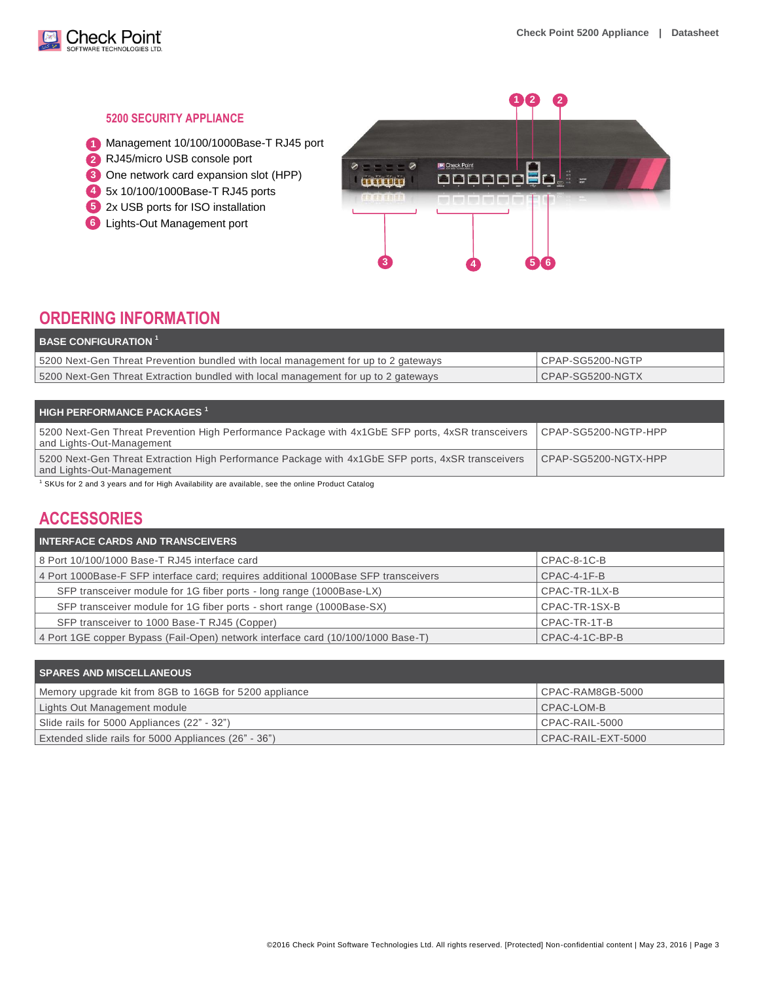

#### **5200 SECURITY APPLIANCE**

- Management 10/100/1000Base-T RJ45 port **1**
- RJ45/micro USB console port **2**
- **3** One network card expansion slot (HPP)
- 5x 10/100/1000Base-T RJ45 ports **4**
- 2x USB ports for ISO installation **5**
- Lights-Out Management port **6**



# **ORDERING INFORMATION**

| $\overline{ }$ BASE CONFIGURATION $^{1}$                                           |                  |
|------------------------------------------------------------------------------------|------------------|
| 5200 Next-Gen Threat Prevention bundled with local management for up to 2 gateways | CPAP-SG5200-NGTP |
| 5200 Next-Gen Threat Extraction bundled with local management for up to 2 gateways | CPAP-SG5200-NGTX |

| $\blacksquare$ HIGH PERFORMANCE PACKAGES $^1$                                                                                  |                      |
|--------------------------------------------------------------------------------------------------------------------------------|----------------------|
| 5200 Next-Gen Threat Prevention High Performance Package with 4x1GbE SFP ports, 4xSR transceivers<br>and Lights-Out-Management | CPAP-SG5200-NGTP-HPP |
| 5200 Next-Gen Threat Extraction High Performance Package with 4x1GbE SFP ports, 4xSR transceivers<br>and Lights-Out-Management | CPAP-SG5200-NGTX-HPP |
| <b>ORTLE COOLS ASSESSED TO A CONTROL ASSESSED TO A SECURITY COOLS CONTROL DISTURBANCE OF A SECURITY OF A SECURITY</b>          |                      |

SKUs for 2 and 3 years and for High Availability are available, see the online Product Catalog

# **ACCESSORIES**

| <b>INTERFACE CARDS AND TRANSCEIVERS</b>                                             |                |
|-------------------------------------------------------------------------------------|----------------|
| 8 Port 10/100/1000 Base-T RJ45 interface card                                       | CPAC-8-1C-B    |
| 4 Port 1000Base-F SFP interface card; requires additional 1000Base SFP transceivers | $CPAC-4-1F-B$  |
| SFP transceiver module for 1G fiber ports - long range (1000Base-LX)                | CPAC-TR-1LX-B  |
| SFP transceiver module for 1G fiber ports - short range (1000Base-SX)               | CPAC-TR-1SX-B  |
| SFP transceiver to 1000 Base-T RJ45 (Copper)                                        | CPAC-TR-1T-B   |
| 4 Port 1GE copper Bypass (Fail-Open) network interface card (10/100/1000 Base-T)    | CPAC-4-1C-BP-B |

| <b>SPARES AND MISCELLANEOUS</b>                        |                      |
|--------------------------------------------------------|----------------------|
| Memory upgrade kit from 8GB to 16GB for 5200 appliance | CPAC-RAM8GB-5000     |
| Lights Out Management module                           | CPAC-LOM-B           |
| Slide rails for 5000 Appliances (22" - 32")            | $CPAC-RAIL-5000$     |
| Extended slide rails for 5000 Appliances (26" - 36")   | $CPAC-RAIL-EXT-5000$ |